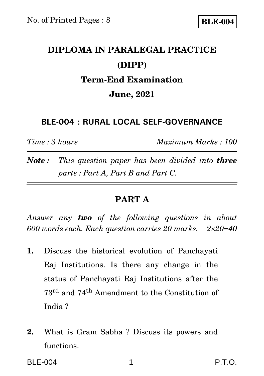## **DIPLOMA IN PARALEGAL PRACTICE (DIPP) Term-End Examination June, 2021**

### **BLE-004 : RURAL LOCAL SELF-GOVERNANCE**

*Time : 3 hours Maximum Marks : 100*

*Note : This question paper has been divided into three parts : Part A, Part B and Part C.*

## **PART A**

*Answer any two of the following questions in about 600 words each. Each question carries 20 marks. 220=40*

- **1.** Discuss the historical evolution of Panchayati Raj Institutions. Is there any change in the status of Panchayati Raj Institutions after the 73rd and 74th Amendment to the Constitution of India ?
- **2.** What is Gram Sabha ? Discuss its powers and functions.

BLE-004 1 P.T.O.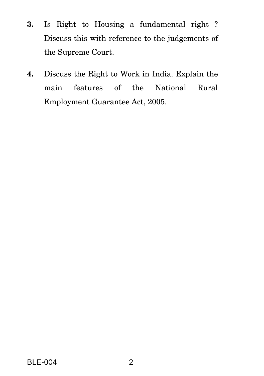- **3.** Is Right to Housing a fundamental right ? Discuss this with reference to the judgements of the Supreme Court.
- **4.** Discuss the Right to Work in India. Explain the main features of the National Rural Employment Guarantee Act, 2005.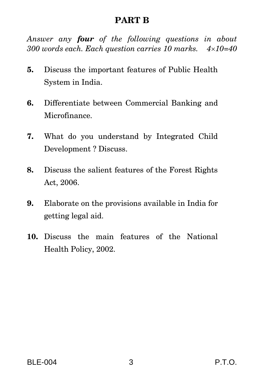### **PART B**

*Answer any four of the following questions in about 300 words each. Each question carries 10 marks. 410=40*

- **5.** Discuss the important features of Public Health System in India.
- **6.** Differentiate between Commercial Banking and Microfinance.
- **7.** What do you understand by Integrated Child Development ? Discuss.
- **8.** Discuss the salient features of the Forest Rights Act, 2006.
- **9.** Elaborate on the provisions available in India for getting legal aid.
- **10.** Discuss the main features of the National Health Policy, 2002.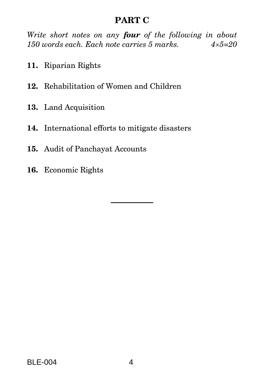## **PART C**

*Write short notes on any four of the following in about 150 words each. Each note carries 5 marks. 45=20*

- **11.** Riparian Rights
- **12.** Rehabilitation of Women and Children
- **13.** Land Acquisition
- **14.** International efforts to mitigate disasters
- **15.** Audit of Panchayat Accounts
- **16.** Economic Rights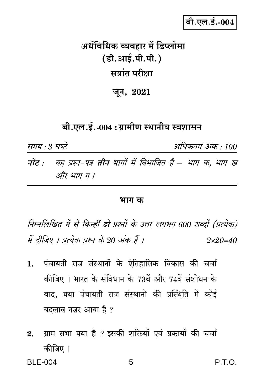## बी.एल.ई.-004

# अर्धविधिक व्यवहार में डिप्लोमा (डी.आई.पी.पी.) सत्रांत परीक्षा

जून, 2021

## बी.एल.ई.-004 : ग्रामीण स्थानीय स्वशासन

समय : 3 घण्टे अधिकतम अंक : 100 नोट : यह प्रश्न-पत्र तीन भागों में विभाजित है – भाग क, भाग ख और भाग ग ।

#### भाग क

निम्नलिखित में से किन्हीं **दो** प्रश्नों के उत्तर लगभग 600 शब्दों (प्रत्येक) में दीजिए । प्रत्येक प्रश्न के 20 अंक हैं ।  $2 \times 20 = 40$ 

- पंचायती राज संस्थानों के ऐतिहासिक विकास की चर्चा  $1.$ कीजिए । भारत के संविधान के 73वें और 74वें संशोधन के बाद, क्या पंचायती राज संस्थानों की प्रस्थिति में कोई बदलाव नज़र आया है ?
- ग्राम सभा क्या है ? इसकी शक्तियों एवं प्रकार्यों की चर्चा  $2.$ कीजिए ।

**BLE-004** 

 $P.T.O.$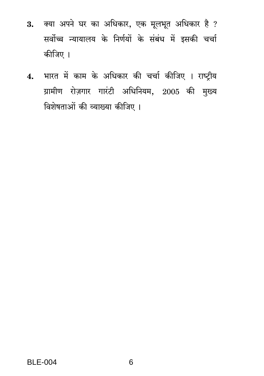- 3. क्या अपने घर का अधिकार, एक मूलभूत अधिकार है ? सर्वोच्च न्यायालय के निर्णयों के संबंध में इसकी चर्चा कीजिए ।
- 4. भारत में काम के अधिकार की चर्चा कीजिए । राष्ट्रीय ग्रामीण रोज़गार गारंटी अधिनियम, 2005 की मुख्य विशेषताओं की व्याख्या कीजिए ।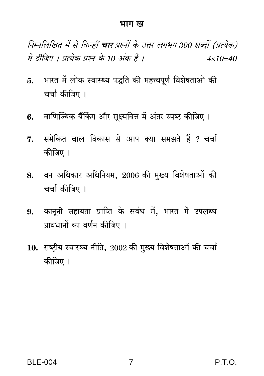#### भाग ख

निम्नलिखित में से किन्हीं **चार** प्रश्नों के उत्तर लगभग 300 शब्दों (प्रत्येक) में दीजिए । प्रत्येक प्रश्न के 10 अंक हैं ।  $4 \times 10 = 40$ 

- 5. भारत में लोक स्वास्थ्य पद्धति की महत्त्वपूर्ण विशेषताओं की चर्चा कीजिए ।
- 6. वाणिज्यिक बैंकिंग और सूक्ष्मवित्त में अंतर स्पष्ट कीजिए ।
- समेकित बाल विकास से आप क्या समझते हैं ? चर्चा 7. कीजिए ।
- वन अधिकार अधिनियम, 2006 की मुख्य विशेषताओं की 8. चर्चा कीजिए ।
- 9. कानूनी सहायता प्राप्ति के संबंध में, भारत में उपलब्ध प्रावधानों का वर्णन कीजिए ।
- $10.$  राष्ट्रीय स्वास्थ्य नीति,  $2002$  की मुख्य विशेषताओं की चर्चा कीजिए ।

P.T.O.